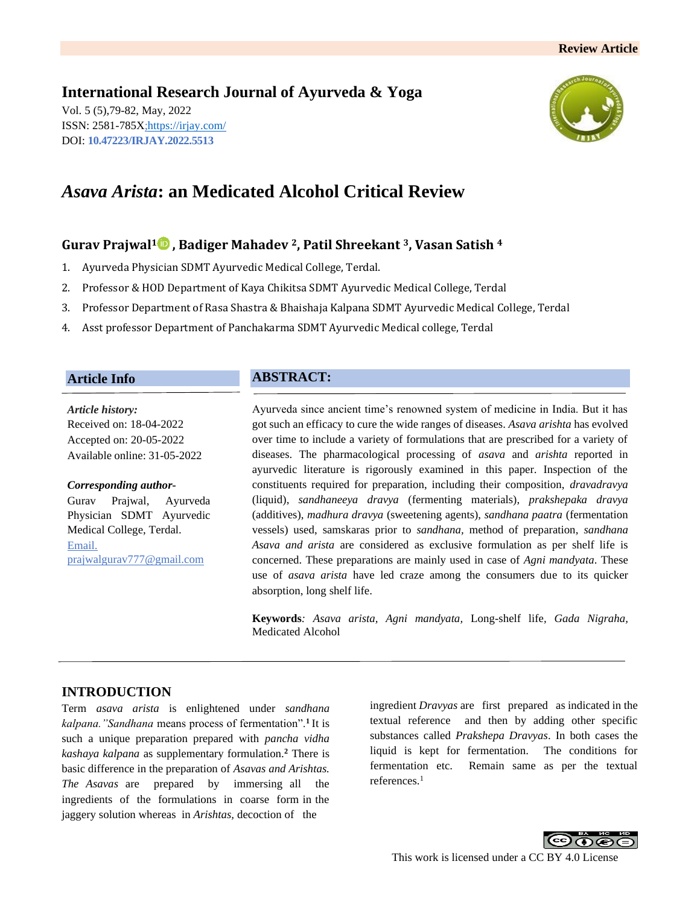# **International Research Journal of Ayurveda & Yoga**

Vol. 5 (5),79-82, May, 2022 ISSN: 2581-785X[; https://irjay.com/](https://irjay.com/) DOI: **10.47223/IRJAY.2022.5513**



# *Asava Arista***: an Medicated Alcohol Critical Review**

# **Gurav Prajwal<sup>1</sup> , Badiger Mahadev 2, Patil Shreekant 3, Vasan Satish <sup>4</sup>**

- 1. Ayurveda Physician SDMT Ayurvedic Medical College, Terdal.
- 2. Professor & HOD Department of Kaya Chikitsa SDMT Ayurvedic Medical College, Terdal
- 3. Professor Department of Rasa Shastra & Bhaishaja Kalpana SDMT Ayurvedic Medical College, Terdal
- 4. Asst professor Department of Panchakarma SDMT Ayurvedic Medical college, Terdal

### **Article Info**

*Article history:* Received on: 18-04-2022 Accepted on: 20-05-2022 Available online: 31-05-2022

#### *Corresponding author-*

Gurav Prajwal, Ayurveda Physician SDMT Ayurvedic Medical College, Terdal. Email. prajwalgurav777@gmail.com

# **ABSTRACT:**

Ayurveda since ancient time's renowned system of medicine in India. But it has got such an efficacy to cure the wide ranges of diseases. *Asava arishta* has evolved over time to include a variety of formulations that are prescribed for a variety of diseases. The pharmacological processing of *asava* and *arishta* reported in ayurvedic literature is rigorously examined in this paper. Inspection of the constituents required for preparation, including their composition, *dravadravya* (liquid), *sandhaneeya dravya* (fermenting materials), *prakshepaka dravya*  (additives), *madhura dravya* (sweetening agents), *sandhana paatra* (fermentation vessels) used, samskaras prior to *sandhana,* method of preparation, *sandhana Asava and arista* are considered as exclusive formulation as per shelf life is concerned. These preparations are mainly used in case of *Agni mandyata*. These use of *asava arista* have led craze among the consumers due to its quicker absorption, long shelf life.

**Keywords***: Asava arista, Agni mandyata,* Long-shelf life*, Gada Nigraha,*  Medicated Alcohol

# **INTRODUCTION**

Term *asava arista* is enlightened under *sandhana kalpana."Sandhana* means process of fermentation".**<sup>1</sup>** It is such a unique preparation prepared with *pancha vidha kashaya kalpana* as supplementary formulation.**<sup>2</sup>** There is basic difference in the preparation of *Asavas and Arishtas. The Asavas* are prepared by immersing all the ingredients of the formulations in coarse form in the jaggery solution whereas in *Arishtas,* decoction of the

ingredient *Dravyas* are first prepared as indicated in the textual reference and then by adding other specific substances called *Prakshepa Dravyas*. In both cases the liquid is kept for fermentation. The conditions for fermentation etc. Remain same as per the textual references.<sup>1</sup>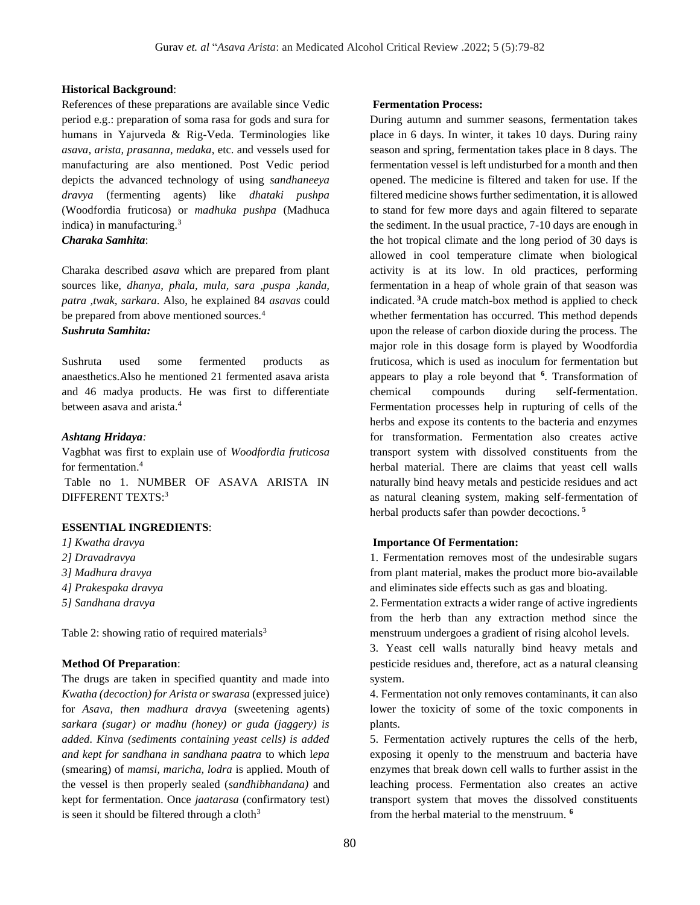#### **Historical Background**:

References of these preparations are available since Vedic period e.g.: preparation of soma rasa for gods and sura for humans in Yajurveda & Rig-Veda. Terminologies like *asava, arista, prasanna, medaka*, etc. and vessels used for manufacturing are also mentioned. Post Vedic period depicts the advanced technology of using *sandhaneeya dravya* (fermenting agents) like *dhataki pushpa* (Woodfordia fruticosa) or *madhuka pushpa* (Madhuca indica) in manufacturing.<sup>3</sup>

### *Charaka Samhita*:

Charaka described *asava* which are prepared from plant sources like, *dhanya, phala, mula, sara ,puspa ,kanda, patra ,twak, sarkara*. Also, he explained 84 *asavas* could be prepared from above mentioned sources.<sup>4</sup>

### *Sushruta Samhita:*

Sushruta used some fermented products as anaesthetics.Also he mentioned 21 fermented asava arista and 46 madya products. He was first to differentiate between asava and arista.<sup>4</sup>

#### *Ashtang Hridaya:*

Vagbhat was first to explain use of *Woodfordia fruticosa* for fermentation. 4

Table no 1. NUMBER OF ASAVA ARISTA IN DIFFERENT TEXTS:<sup>3</sup>

#### **ESSENTIAL INGREDIENTS**:

- *1] Kwatha dravya*
- *2] Dravadravya*
- *3] Madhura dravya*
- *4] Prakespaka dravya*
- *5] Sandhana dravya*

Table 2: showing ratio of required materials<sup>3</sup>

#### **Method Of Preparation**:

The drugs are taken in specified quantity and made into *Kwatha (decoction) for Arista or swarasa* (expressed juice) for *Asava, then madhura dravya* (sweetening agents) *sarkara (sugar) or madhu (honey) or guda (jaggery) is added. Kinva (sediments containing yeast cells) is added and kept for sandhana in sandhana paatra* to which l*epa*  (smearing) of *mamsi, maricha, lodra* is applied. Mouth of the vessel is then properly sealed (*sandhibhandana)* and kept for fermentation. Once *jaatarasa* (confirmatory test) is seen it should be filtered through a cloth $3$ 

#### **Fermentation Process:**

During autumn and summer seasons, fermentation takes place in 6 days. In winter, it takes 10 days. During rainy season and spring, fermentation takes place in 8 days. The fermentation vessel is left undisturbed for a month and then opened. The medicine is filtered and taken for use. If the filtered medicine shows further sedimentation, it is allowed to stand for few more days and again filtered to separate the sediment. In the usual practice, 7-10 days are enough in the hot tropical climate and the long period of 30 days is allowed in cool temperature climate when biological activity is at its low. In old practices, performing fermentation in a heap of whole grain of that season was indicated. **<sup>3</sup>**A crude match-box method is applied to check whether fermentation has occurred. This method depends upon the release of carbon dioxide during the process. The major role in this dosage form is played by Woodfordia fruticosa, which is used as inoculum for fermentation but appears to play a role beyond that **<sup>6</sup>** . Transformation of chemical compounds during self-fermentation. Fermentation processes help in rupturing of cells of the herbs and expose its contents to the bacteria and enzymes for transformation. Fermentation also creates active transport system with dissolved constituents from the herbal material. There are claims that yeast cell walls naturally bind heavy metals and pesticide residues and act as natural cleaning system, making self-fermentation of herbal products safer than powder decoctions. **<sup>5</sup>**

#### **Importance Of Fermentation:**

1. Fermentation removes most of the undesirable sugars from plant material, makes the product more bio-available and eliminates side effects such as gas and bloating.

2. Fermentation extracts a wider range of active ingredients from the herb than any extraction method since the menstruum undergoes a gradient of rising alcohol levels.

3. Yeast cell walls naturally bind heavy metals and pesticide residues and, therefore, act as a natural cleansing system.

4. Fermentation not only removes contaminants, it can also lower the toxicity of some of the toxic components in plants.

5. Fermentation actively ruptures the cells of the herb, exposing it openly to the menstruum and bacteria have enzymes that break down cell walls to further assist in the leaching process. Fermentation also creates an active transport system that moves the dissolved constituents from the herbal material to the menstruum. **6**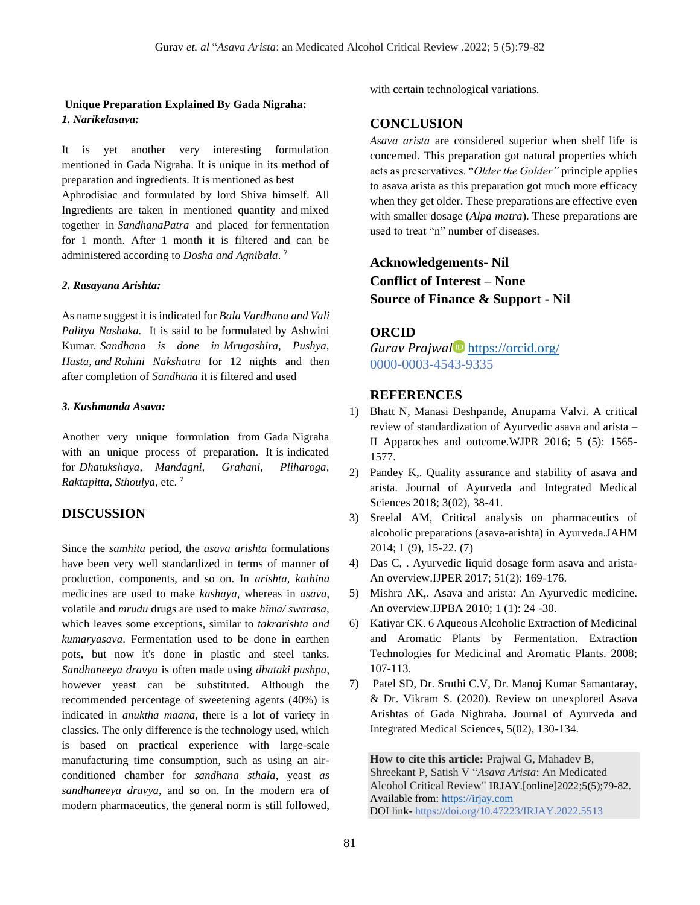### **Unique Preparation Explained By Gada Nigraha:** *1. Narikelasava:*

It is yet another very interesting formulation mentioned in Gada Nigraha. It is unique in its method of preparation and ingredients. It is mentioned as best Aphrodisiac and formulated by lord Shiva himself. All Ingredients are taken in mentioned quantity and mixed together in *SandhanaPatra* and placed for fermentation for 1 month. After 1 month it is filtered and can be

administered according to *Dosha and Agnibala*. **7**

# *2. Rasayana Arishta:*

As name suggest it is indicated for *Bala Vardhana and Vali Palitya Nashaka.* It is said to be formulated by Ashwini Kumar. *Sandhana is done in Mrugashira, Pushya, Hasta, and Rohini Nakshatra* for 12 nights and then after completion of *Sandhana* it is filtered and used

#### *3. Kushmanda Asava:*

Another very unique formulation from Gada Nigraha with an unique process of preparation. It is indicated for *Dhatukshaya, Mandagni, Grahani, Pliharoga, Raktapitta, Sthoulya,* etc. **<sup>7</sup>**

### **DISCUSSION**

Since the *samhita* period, the *asava arishta* formulations have been very well standardized in terms of manner of production, components, and so on. In *arishta, kathina* medicines are used to make *kashaya,* whereas in *asava,* volatile and *mrudu* drugs are used to make *hima/ swarasa,* which leaves some exceptions, similar to *takrarishta and kumaryasava*. Fermentation used to be done in earthen pots, but now it's done in plastic and steel tanks. *Sandhaneeya dravya* is often made using *dhataki pushpa*, however yeast can be substituted. Although the recommended percentage of sweetening agents (40%) is indicated in *anuktha maana*, there is a lot of variety in classics. The only difference is the technology used, which is based on practical experience with large-scale manufacturing time consumption, such as using an airconditioned chamber for *sandhana sthala*, yeast *as sandhaneeya dravya*, and so on. In the modern era of modern pharmaceutics, the general norm is still followed,

with certain technological variations.

#### **CONCLUSION**

*Asava arista* are considered superior when shelf life is concerned. This preparation got natural properties which acts as preservatives. "*Older the Golder"* principle applies to asava arista as this preparation got much more efficacy when they get older. These preparations are effective even with smaller dosage (*Alpa matra*). These preparations are used to treat "n" number of diseases.

# **Acknowledgements- Nil Conflict of Interest – None Source of Finance & Support - Nil**

#### **ORCID**

*Gurav Prajwal* <https://orcid.org/> 0000-0003-4543-9335

### **REFERENCES**

- 1) Bhatt N, Manasi Deshpande, Anupama Valvi. A critical review of standardization of Ayurvedic asava and arista – II Apparoches and outcome.WJPR 2016; 5 (5): 1565- 1577.
- 2) Pandey K,. Quality assurance and stability of asava and arista. Journal of Ayurveda and Integrated Medical Sciences 2018; 3(02), 38-41.
- 3) Sreelal AM, Critical analysis on pharmaceutics of alcoholic preparations (asava-arishta) in Ayurveda.JAHM 2014; 1 (9), 15-22. (7)
- 4) Das C, . Ayurvedic liquid dosage form asava and arista-An overview.IJPER 2017; 51(2): 169-176.
- 5) Mishra AK,. Asava and arista: An Ayurvedic medicine. An overview.IJPBA 2010; 1 (1): 24 -30.
- 6) Katiyar CK. 6 Aqueous Alcoholic Extraction of Medicinal and Aromatic Plants by Fermentation. Extraction Technologies for Medicinal and Aromatic Plants. 2008; 107-113.
- 7) Patel SD, Dr. Sruthi C.V, Dr. Manoj Kumar Samantaray, & Dr. Vikram S. (2020). Review on unexplored Asava Arishtas of Gada Nighraha. Journal of Ayurveda and Integrated Medical Sciences, 5(02), 130-134.

**How to cite this article:** Prajwal G, Mahadev B, Shreekant P, Satish V "*Asava Arista*: An Medicated Alcohol Critical Review" IRJAY.[online]2022;5(5);79-82. Available from[: https://irjay.com](https://irjay.com/) DOI link- https://doi.org/10.47223/IRJAY.2022.5513